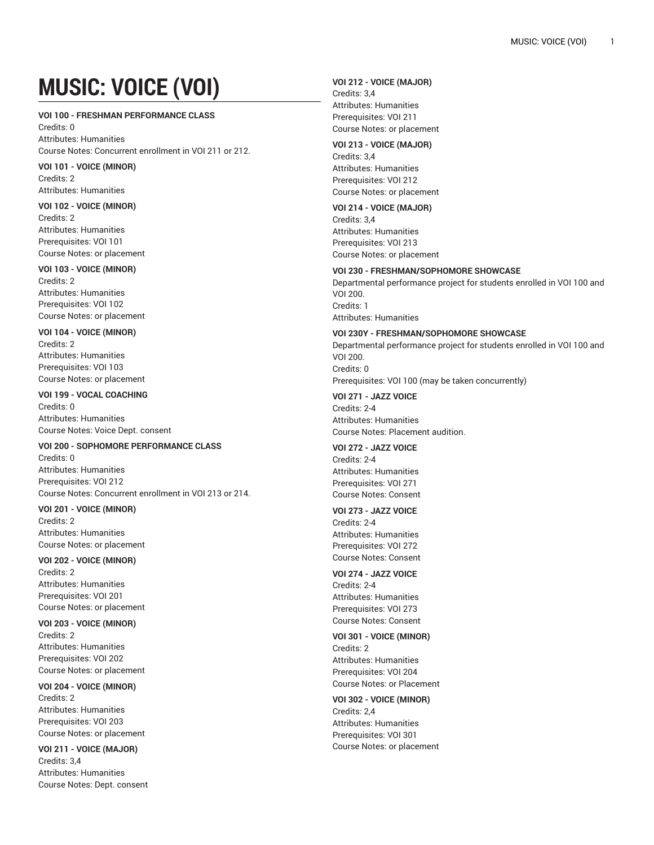# **MUSIC: VOICE (VOI)**

#### **VOI 100 - FRESHMAN PERFORMANCE CLASS**

Credits: 0 Attributes: Humanities Course Notes: Concurrent enrollment in VOI 211 or 212.

**VOI 101 - VOICE (MINOR)** Credits: 2 Attributes: Humanities

#### **VOI 102 - VOICE (MINOR)**

Credits: 2 Attributes: Humanities Prerequisites: VOI 101 Course Notes: or placement

### **VOI 103 - VOICE (MINOR)**

Credits: 2 Attributes: Humanities Prerequisites: VOI 102 Course Notes: or placement

#### **VOI 104 - VOICE (MINOR)**

Credits: 2 Attributes: Humanities Prerequisites: VOI 103 Course Notes: or placement

#### **VOI 199 - VOCAL COACHING**

Credits: 0 Attributes: Humanities Course Notes: Voice Dept. consent

#### **VOI 200 - SOPHOMORE PERFORMANCE CLASS**

Credits: 0 Attributes: Humanities Prerequisites: VOI 212 Course Notes: Concurrent enrollment in VOI 213 or 214.

#### **VOI 201 - VOICE (MINOR)**

Credits: 2 Attributes: Humanities Course Notes: or placement

#### **VOI 202 - VOICE (MINOR)**

Credits: 2 Attributes: Humanities Prerequisites: VOI 201 Course Notes: or placement

#### **VOI 203 - VOICE (MINOR)**

Credits: 2 Attributes: Humanities Prerequisites: VOI 202 Course Notes: or placement

## **VOI 204 - VOICE (MINOR)** Credits: 2

Attributes: Humanities Prerequisites: VOI 203 Course Notes: or placement

#### **VOI 211 - VOICE (MAJOR)**

Credits: 3,4 Attributes: Humanities Course Notes: Dept. consent

#### **VOI 212 - VOICE (MAJOR)**

Credits: 3,4 Attributes: Humanities Prerequisites: VOI 211 Course Notes: or placement

#### **VOI 213 - VOICE (MAJOR)**

Credits: 3,4 Attributes: Humanities Prerequisites: VOI 212 Course Notes: or placement

#### **VOI 214 - VOICE (MAJOR)**

Credits: 3,4 Attributes: Humanities Prerequisites: VOI 213 Course Notes: or placement

#### **VOI 230 - FRESHMAN/SOPHOMORE SHOWCASE**

Departmental performance project for students enrolled in VOI 100 and VOI 200. Credits: 1 Attributes: Humanities

#### **VOI 230Y - FRESHMAN/SOPHOMORE SHOWCASE**

Departmental performance project for students enrolled in VOI 100 and VOI 200. Credits: 0 Prerequisites: VOI 100 (may be taken concurrently)

#### **VOI 271 - JAZZ VOICE** Credits: 2-4 Attributes: Humanities Course Notes: Placement audition.

**VOI 272 - JAZZ VOICE** Credits: 2-4 Attributes: Humanities Prerequisites: VOI 271 Course Notes: Consent

#### **VOI 273 - JAZZ VOICE** Credits: 2-4

Attributes: Humanities Prerequisites: VOI 272 Course Notes: Consent

#### **VOI 274 - JAZZ VOICE** Credits: 2-4 Attributes: Humanities

Prerequisites: VOI 273 Course Notes: Consent

#### **VOI 301 - VOICE (MINOR)** Credits: 2 Attributes: Humanities Prerequisites: VOI 204 Course Notes: or Placement

**VOI 302 - VOICE (MINOR)** Credits: 2,4 Attributes: Humanities Prerequisites: VOI 301 Course Notes: or placement